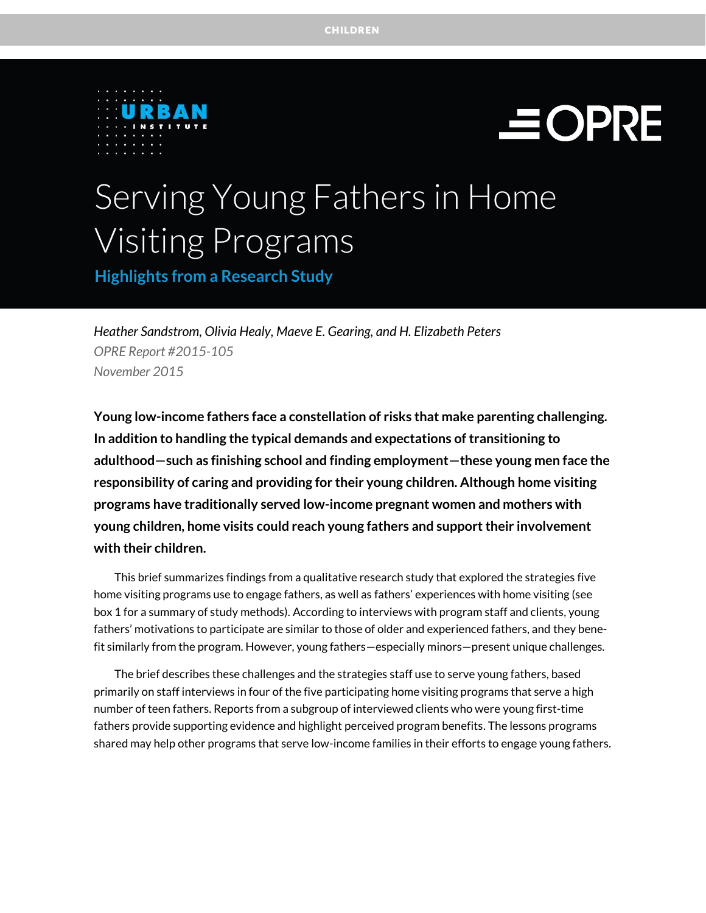



# Serving Young Fathers in Home Visiting Programs

**Highlights from a Research Study**

*Heather Sandstrom, Olivia Healy, Maeve E. Gearing, and H. Elizabeth Peters OPRE Report #2015-105 November 2015* 

**Young low-income fathers face a constellation of risks that make parenting challenging. In addition to handling the typical demands and expectations of transitioning to adulthood—such as finishing school and finding employment—these young men face the responsibility of caring and providing for their young children. Although home visiting programs have traditionally served low-income pregnant women and mothers with young children, home visits could reach young fathers and support their involvement with their children.** 

This brief summarizes findings from a qualitative research study that explored the strategies five home visiting programs use to engage fathers, as well as fathers' experiences with home visiting (see box 1 for a summary of study methods). According to interviews with program staff and clients, young fathers' motivations to participate are similar to those of older and experienced fathers, and they benefit similarly from the program. However, young fathers—especially minors—present unique challenges.

The brief describes these challenges and the strategies staff use to serve young fathers, based primarily on staff interviews in four of the five participating home visiting programs that serve a high number of teen fathers. Reports from a subgroup of interviewed clients who were young first-time fathers provide supporting evidence and highlight perceived program benefits. The lessons programs shared may help other programs that serve low-income families in their efforts to engage young fathers.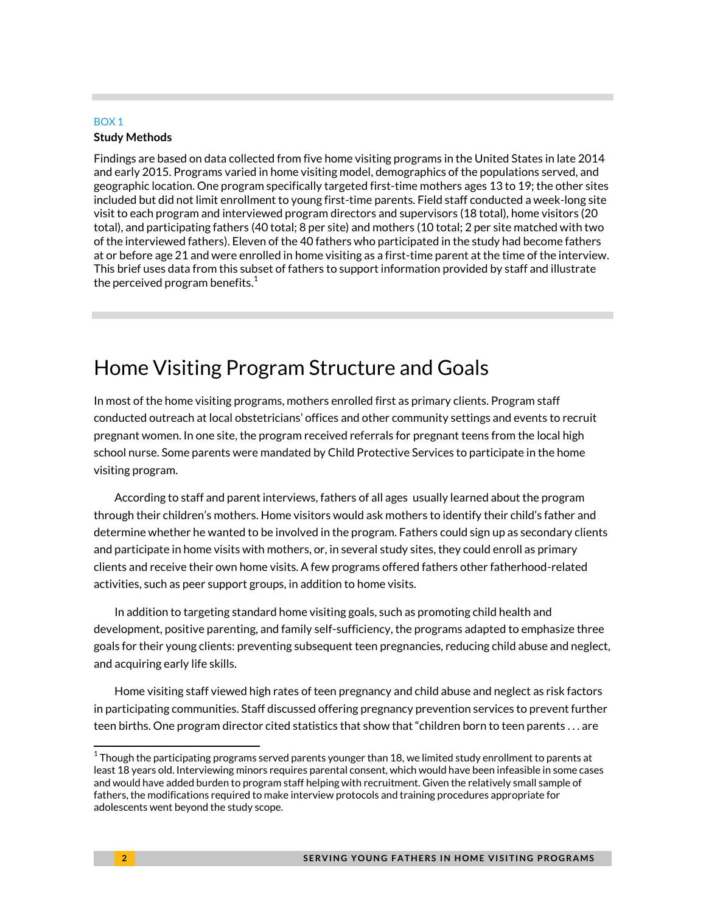#### BOX 1

#### **Study Methods**

Findings are based on data collected from five home visiting programs in the United States in late 2014 and early 2015. Programs varied in home visiting model, demographics of the populations served, and geographic location. One program specifically targeted first-time mothers ages 13 to 19; the other sites included but did not limit enrollment to young first-time parents. Field staff conducted a week-long site visit to each program and interviewed program directors and supervisors (18 total), home visitors (20 total), and participating fathers (40 total; 8 per site) and mothers (10 total; 2 per site matched with two of the interviewed fathers). Eleven of the 40 fathers who participated in the study had become fathers at or before age 21 and were enrolled in home visiting as a first-time parent at the time of the interview. This brief uses data from this subset of fathers to support information provided by staff and illustrate the perceived program benefits. $1$ 

### Home Visiting Program Structure and Goals

In most of the home visiting programs, mothers enrolled first as primary clients. Program staff conducted outreach at local obstetricians' offices and other community settings and events to recruit pregnant women. In one site, the program received referrals for pregnant teens from the local high school nurse. Some parents were mandated by Child Protective Services to participate in the home visiting program.

According to staff and parent interviews, fathers of all ages usually learned about the program through their children's mothers. Home visitors would ask mothers to identify their child's father and determine whether he wanted to be involved in the program. Fathers could sign up as secondary clients and participate in home visits with mothers, or, in several study sites, they could enroll as primary clients and receive their own home visits. A few programs offered fathers other fatherhood-related activities, such as peer support groups, in addition to home visits.

In addition to targeting standard home visiting goals, such as promoting child health and development, positive parenting, and family self-sufficiency, the programs adapted to emphasize three goals for their young clients: preventing subsequent teen pregnancies, reducing child abuse and neglect, and acquiring early life skills.

Home visiting staff viewed high rates of teen pregnancy and child abuse and neglect as risk factors in participating communities. Staff discussed offering pregnancy prevention services to prevent further teen births. One program director cited statistics that show that "children born to teen parents . . . are

 $\overline{a}$ 

 $^{\rm 1}$ Though the participating programs served parents younger than 18, we limited study enrollment to parents at least 18 years old. Interviewing minors requires parental consent, which would have been infeasible in some cases and would have added burden to program staff helping with recruitment. Given the relatively small sample of fathers, the modifications required to make interview protocols and training procedures appropriate for adolescents went beyond the study scope.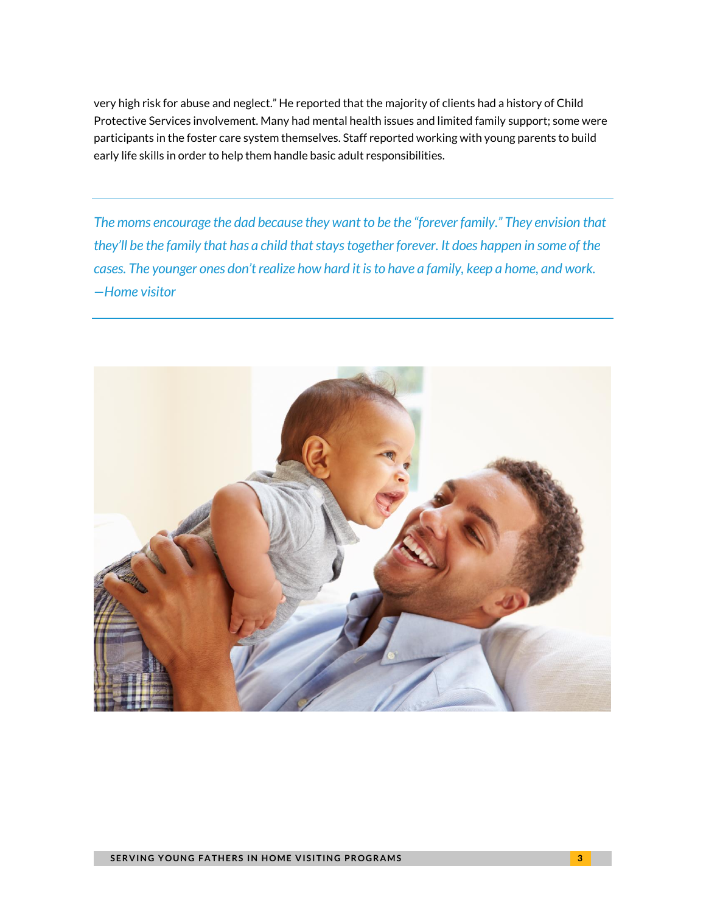very high risk for abuse and neglect." He reported that the majority of clients had a history of Child Protective Services involvement. Many had mental health issues and limited family support; some were participants in the foster care system themselves. Staff reported working with young parents to build early life skills in order to help them handle basic adult responsibilities.

*The moms encourage the dad because they want to be the "forever family." They envision that they'll be the family that has a child that stays together forever. It does happen in some of the cases. The younger ones don't realize how hard it is to have a family, keep a home, and work. —Home visitor* 

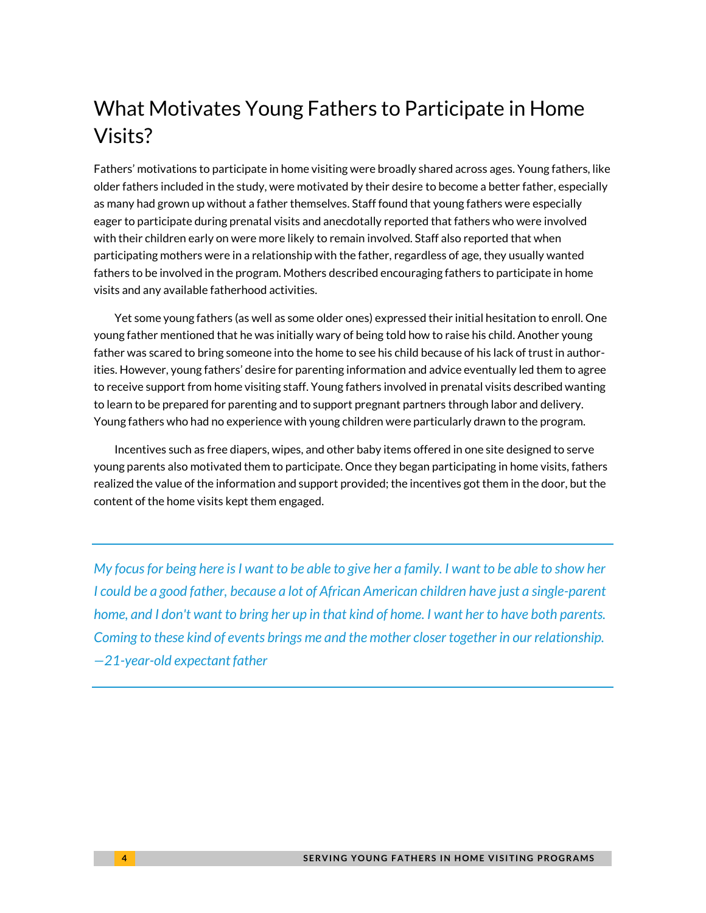# What Motivates Young Fathers to Participate in Home Visits?

Fathers' motivations to participate in home visiting were broadly shared across ages. Young fathers, like older fathers included in the study, were motivated by their desire to become a better father, especially as many had grown up without a father themselves. Staff found that young fathers were especially eager to participate during prenatal visits and anecdotally reported that fathers who were involved with their children early on were more likely to remain involved. Staff also reported that when participating mothers were in a relationship with the father, regardless of age, they usually wanted fathers to be involved in the program. Mothers described encouraging fathers to participate in home visits and any available fatherhood activities.

Yet some young fathers (as well as some older ones) expressed their initial hesitation to enroll. One young father mentioned that he was initially wary of being told how to raise his child. Another young father was scared to bring someone into the home to see his child because of his lack of trust in authorities. However, young fathers' desire for parenting information and advice eventually led them to agree to receive support from home visiting staff. Young fathers involved in prenatal visits described wanting to learn to be prepared for parenting and to support pregnant partners through labor and delivery. Young fathers who had no experience with young children were particularly drawn to the program.

Incentives such as free diapers, wipes, and other baby items offered in one site designed to serve young parents also motivated them to participate. Once they began participating in home visits, fathers realized the value of the information and support provided; the incentives got them in the door, but the content of the home visits kept them engaged.

*My focus for being here is I want to be able to give her a family. I want to be able to show her I could be a good father, because a lot of African American children have just a single-parent home, and I don't want to bring her up in that kind of home. I want her to have both parents. Coming to these kind of events brings me and the mother closer together in our relationship. —21-year-old expectant father*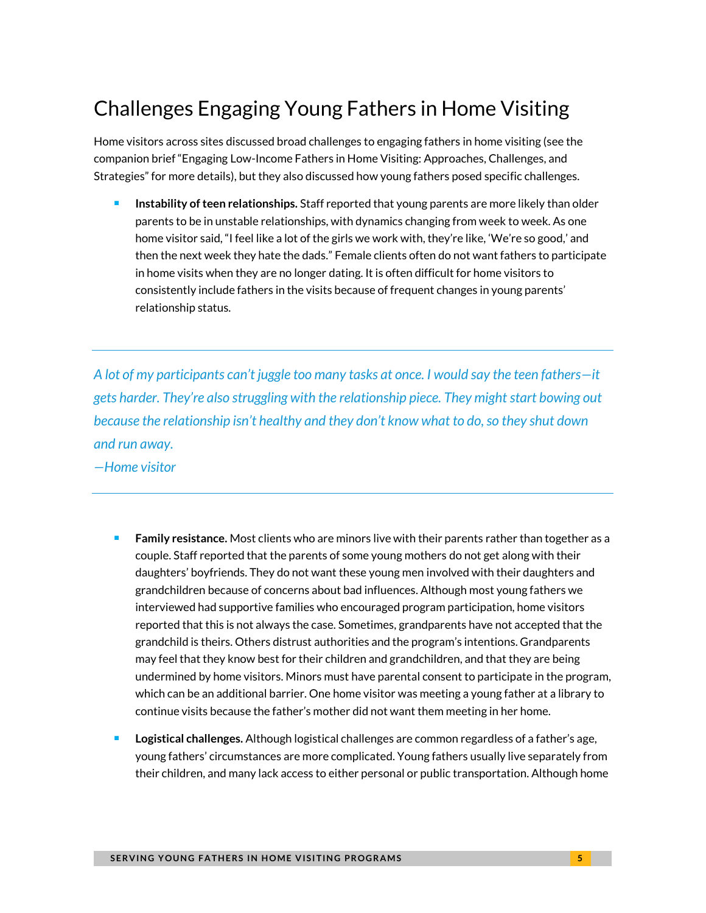# Challenges Engaging Young Fathers in Home Visiting

Home visitors across sites discussed broad challenges to engaging fathers in home visiting (see the companion brief "Engaging Low-Income Fathers in Home Visiting: Approaches, Challenges, and Strategies" for more details), but they also discussed how young fathers posed specific challenges.

 **Instability of teen relationships.** Staff reported that young parents are more likely than older parents to be in unstable relationships, with dynamics changing from week to week. As one home visitor said, "I feel like a lot of the girls we work with, they're like, 'We're so good,' and then the next week they hate the dads." Female clients often do not want fathers to participate in home visits when they are no longer dating. It is often difficult for home visitors to consistently include fathers in the visits because of frequent changes in young parents' relationship status.

*A lot of my participants can't juggle too many tasks at once. I would say the teen fathers—it gets harder. They're also struggling with the relationship piece. They might start bowing out because the relationship isn't healthy and they don't know what to do, so they shut down and run away.* 

*—Home visitor* 

- **Family resistance.** Most clients who are minors live with their parents rather than together as a couple. Staff reported that the parents of some young mothers do not get along with their daughters' boyfriends. They do not want these young men involved with their daughters and grandchildren because of concerns about bad influences. Although most young fathers we interviewed had supportive families who encouraged program participation, home visitors reported that this is not always the case. Sometimes, grandparents have not accepted that the grandchild is theirs. Others distrust authorities and the program's intentions. Grandparents may feel that they know best for their children and grandchildren, and that they are being undermined by home visitors. Minors must have parental consent to participate in the program, which can be an additional barrier. One home visitor was meeting a young father at a library to continue visits because the father's mother did not want them meeting in her home.
- **Logistical challenges.** Although logistical challenges are common regardless of a father's age, young fathers' circumstances are more complicated. Young fathers usually live separately from their children, and many lack access to either personal or public transportation. Although home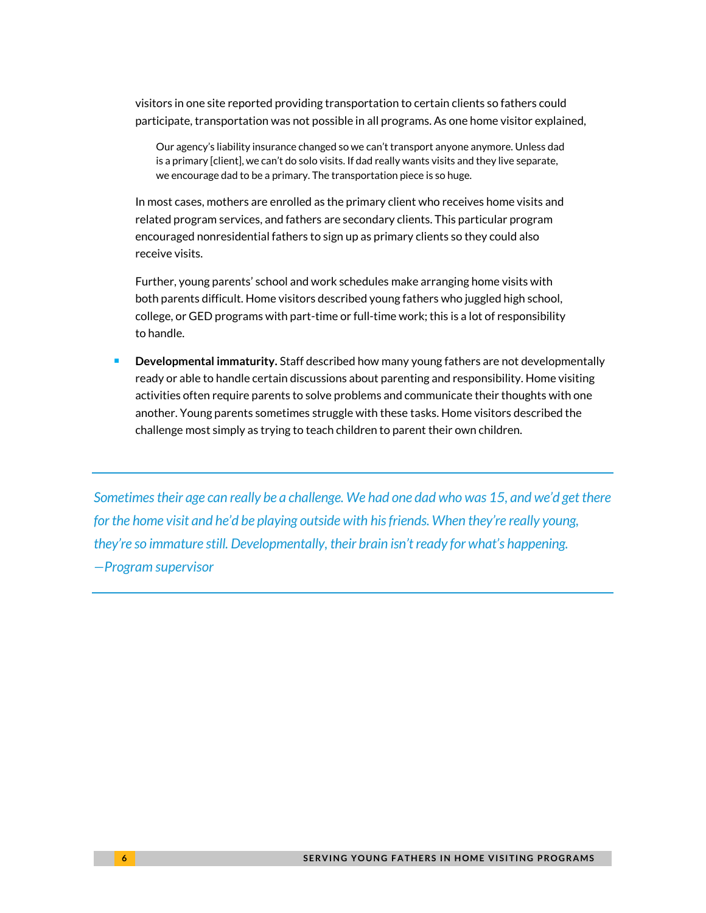visitors in one site reported providing transportation to certain clients so fathers could participate, transportation was not possible in all programs. As one home visitor explained,

Our agency's liability insurance changed so we can't transport anyone anymore. Unless dad is a primary [client], we can't do solo visits. If dad really wants visits and they live separate, we encourage dad to be a primary. The transportation piece is so huge.

In most cases, mothers are enrolled as the primary client who receives home visits and related program services, and fathers are secondary clients. This particular program encouraged nonresidential fathers to sign up as primary clients so they could also receive visits.

Further, young parents' school and work schedules make arranging home visits with both parents difficult. Home visitors described young fathers who juggled high school, college, or GED programs with part-time or full-time work; this is a lot of responsibility to handle.

 **Developmental immaturity.** Staff described how many young fathers are not developmentally ready or able to handle certain discussions about parenting and responsibility. Home visiting activities often require parents to solve problems and communicate their thoughts with one another. Young parents sometimes struggle with these tasks. Home visitors described the challenge most simply as trying to teach children to parent their own children.

*Sometimes their age can really be a challenge. We had one dad who was 15, and we'd get there for the home visit and he'd be playing outside with his friends. When they're really young, they're so immature still. Developmentally, their brain isn't ready for what's happening. —Program supervisor*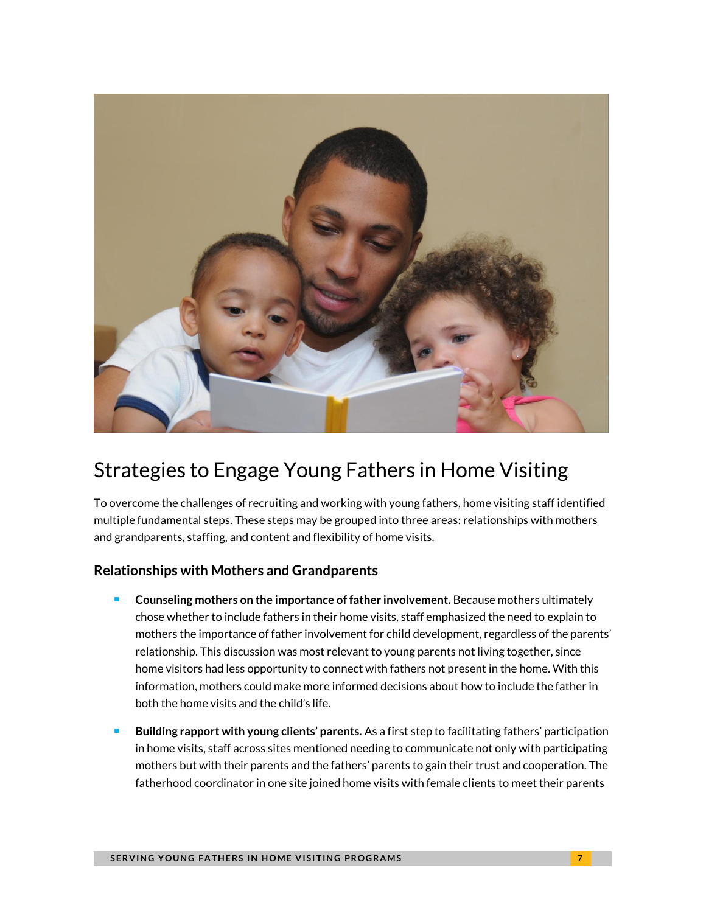

### Strategies to Engage Young Fathers in Home Visiting

To overcome the challenges of recruiting and working with young fathers, home visiting staff identified multiple fundamental steps. These steps may be grouped into three areas: relationships with mothers and grandparents, staffing, and content and flexibility of home visits.

### **Relationships with Mothers and Grandparents**

- **Counseling mothers on the importance of father involvement.** Because mothers ultimately chose whether to include fathers in their home visits, staff emphasized the need to explain to mothers the importance of father involvement for child development, regardless of the parents' relationship. This discussion was most relevant to young parents not living together, since home visitors had less opportunity to connect with fathers not present in the home. With this information, mothers could make more informed decisions about how to include the father in both the home visits and the child's life.
- **Building rapport with young clients' parents.** As a first step to facilitating fathers' participation in home visits, staff across sites mentioned needing to communicate not only with participating mothers but with their parents and the fathers' parents to gain their trust and cooperation. The fatherhood coordinator in one site joined home visits with female clients to meet their parents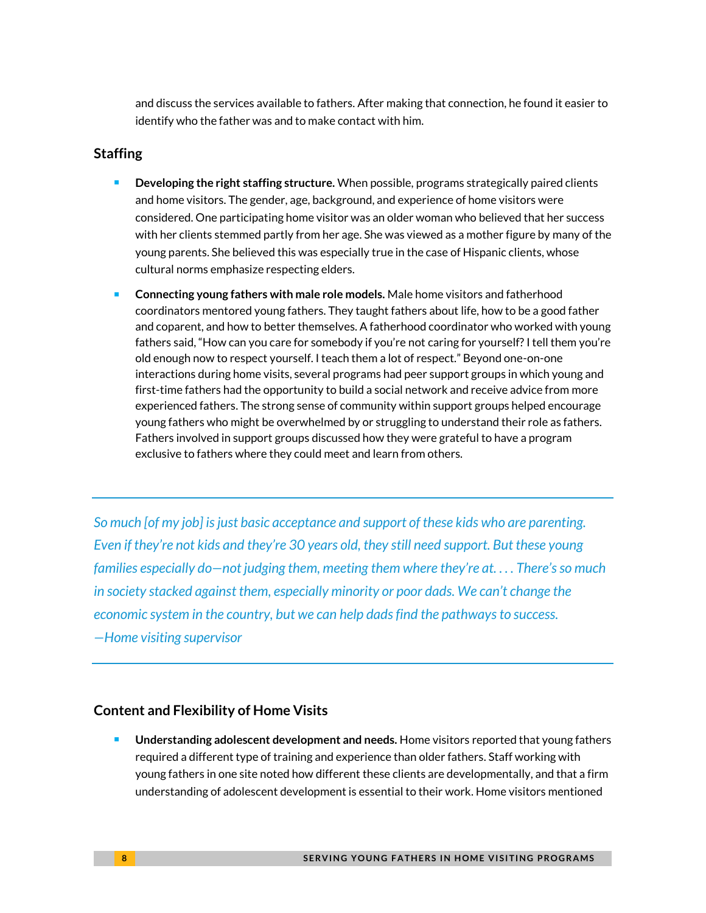and discuss the services available to fathers. After making that connection, he found it easier to identify who the father was and to make contact with him.

### **Staffing**

- **Developing the right staffing structure.** When possible, programs strategically paired clients and home visitors. The gender, age, background, and experience of home visitors were considered. One participating home visitor was an older woman who believed that her success with her clients stemmed partly from her age. She was viewed as a mother figure by many of the young parents. She believed this was especially true in the case of Hispanic clients, whose cultural norms emphasize respecting elders.
- **Connecting young fathers with male role models.** Male home visitors and fatherhood coordinators mentored young fathers. They taught fathers about life, how to be a good father and coparent, and how to better themselves. A fatherhood coordinator who worked with young fathers said, "How can you care for somebody if you're not caring for yourself? I tell them you're old enough now to respect yourself. I teach them a lot of respect." Beyond one-on-one interactions during home visits, several programs had peer support groups in which young and first-time fathers had the opportunity to build a social network and receive advice from more experienced fathers. The strong sense of community within support groups helped encourage young fathers who might be overwhelmed by or struggling to understand their role as fathers. Fathers involved in support groups discussed how they were grateful to have a program exclusive to fathers where they could meet and learn from others.

*So much [of my job] is just basic acceptance and support of these kids who are parenting. Even if they're not kids and they're 30 years old, they still need support. But these young families especially do—not judging them, meeting them where they're at. . . . There's so much in society stacked against them, especially minority or poor dads. We can't change the economic system in the country, but we can help dads find the pathways to success. —Home visiting supervisor* 

### **Content and Flexibility of Home Visits**

 **Understanding adolescent development and needs.** Home visitors reported that young fathers required a different type of training and experience than older fathers. Staff working with young fathers in one site noted how different these clients are developmentally, and that a firm understanding of adolescent development is essential to their work. Home visitors mentioned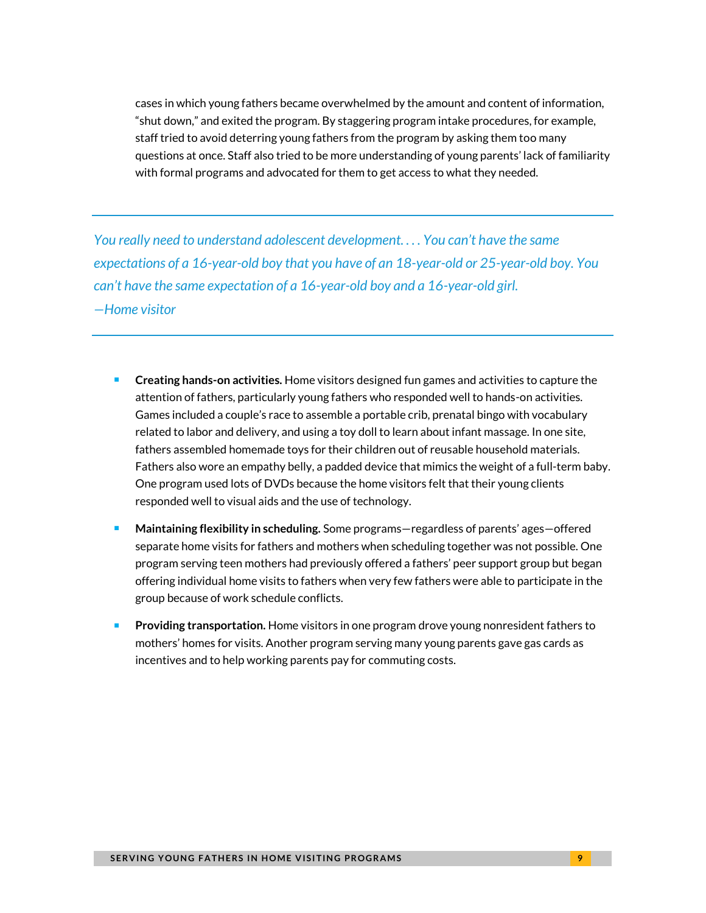cases in which young fathers became overwhelmed by the amount and content of information, "shut down," and exited the program. By staggering program intake procedures, for example, staff tried to avoid deterring young fathers from the program by asking them too many questions at once. Staff also tried to be more understanding of young parents' lack of familiarity with formal programs and advocated for them to get access to what they needed.

*You really need to understand adolescent development. . . . You can't have the same expectations of a 16-year-old boy that you have of an 18-year-old or 25-year-old boy. You can't have the same expectation of a 16-year-old boy and a 16-year-old girl. —Home visitor*

- **Creating hands-on activities.** Home visitors designed fun games and activities to capture the attention of fathers, particularly young fathers who responded well to hands-on activities. Games included a couple's race to assemble a portable crib, prenatal bingo with vocabulary related to labor and delivery, and using a toy doll to learn about infant massage. In one site, fathers assembled homemade toys for their children out of reusable household materials. Fathers also wore an empathy belly, a padded device that mimics the weight of a full-term baby. One program used lots of DVDs because the home visitors felt that their young clients responded well to visual aids and the use of technology.
- **Maintaining flexibility in scheduling.** Some programs—regardless of parents' ages—offered separate home visits for fathers and mothers when scheduling together was not possible. One program serving teen mothers had previously offered a fathers' peer support group but began offering individual home visits to fathers when very few fathers were able to participate in the group because of work schedule conflicts.
- **Providing transportation.** Home visitors in one program drove young nonresident fathers to mothers' homes for visits. Another program serving many young parents gave gas cards as incentives and to help working parents pay for commuting costs.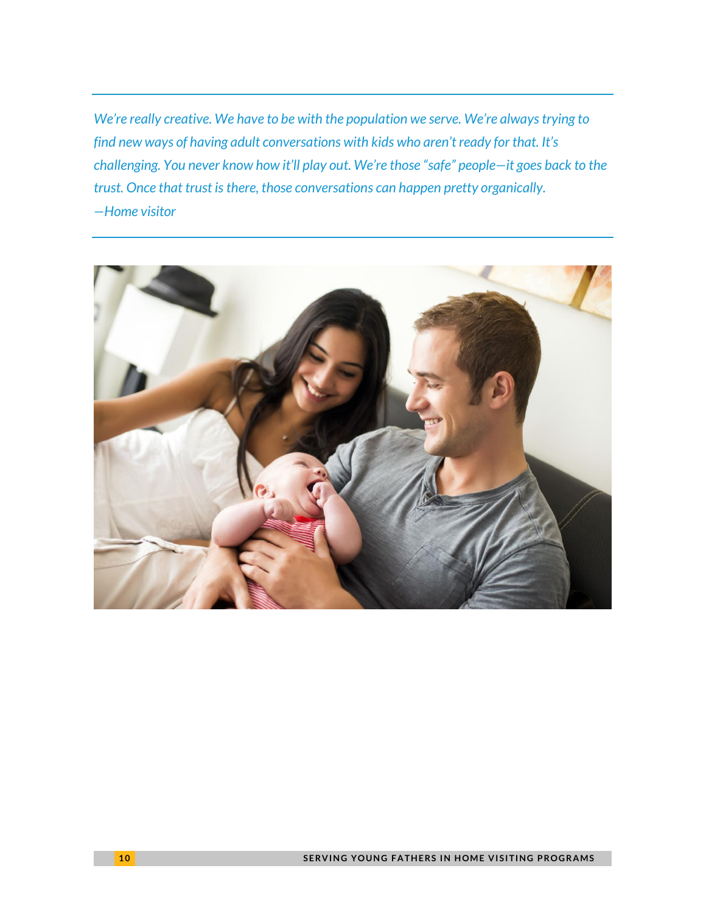*We're really creative. We have to be with the population we serve. We're always trying to find new ways of having adult conversations with kids who aren't ready for that. It's challenging. You never know how it'll play out. We're those "safe" people—it goes back to the trust. Once that trust is there, those conversations can happen pretty organically. —Home visitor*

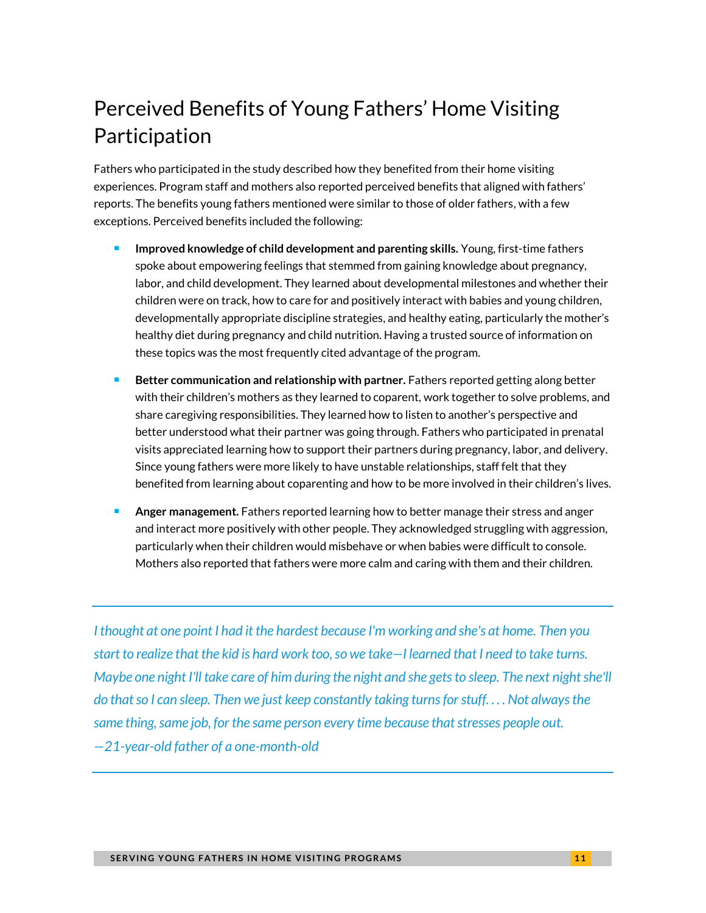# Perceived Benefits of Young Fathers' Home Visiting Participation

Fathers who participated in the study described how they benefited from their home visiting experiences. Program staff and mothers also reported perceived benefits that aligned with fathers' reports. The benefits young fathers mentioned were similar to those of older fathers, with a few exceptions. Perceived benefits included the following:

- **Improved knowledge of child development and parenting skills.** Young, first-time fathers spoke about empowering feelings that stemmed from gaining knowledge about pregnancy, labor, and child development. They learned about developmental milestones and whether their children were on track, how to care for and positively interact with babies and young children, developmentally appropriate discipline strategies, and healthy eating, particularly the mother's healthy diet during pregnancy and child nutrition. Having a trusted source of information on these topics was the most frequently cited advantage of the program.
- **Better communication and relationship with partner.** Fathers reported getting along better with their children's mothers as they learned to coparent, work together to solve problems, and share caregiving responsibilities. They learned how to listen to another's perspective and better understood what their partner was going through. Fathers who participated in prenatal visits appreciated learning how to support their partners during pregnancy, labor, and delivery. Since young fathers were more likely to have unstable relationships, staff felt that they benefited from learning about coparenting and how to be more involved in their children's lives.
- **Anger management.** Fathers reported learning how to better manage their stress and anger and interact more positively with other people. They acknowledged struggling with aggression, particularly when their children would misbehave or when babies were difficult to console. Mothers also reported that fathers were more calm and caring with them and their children.

*I thought at one point I had it the hardest because I'm working and she's at home. Then you start to realize that the kid is hard work too, so we take—I learned that I need to take turns. Maybe one night I'll take care of him during the night and she gets to sleep. The next night she'll do that so I can sleep. Then we just keep constantly taking turns for stuff. . . . Not always the same thing, same job, for the same person every time because that stresses people out. —21-year-old father of a one-month-old*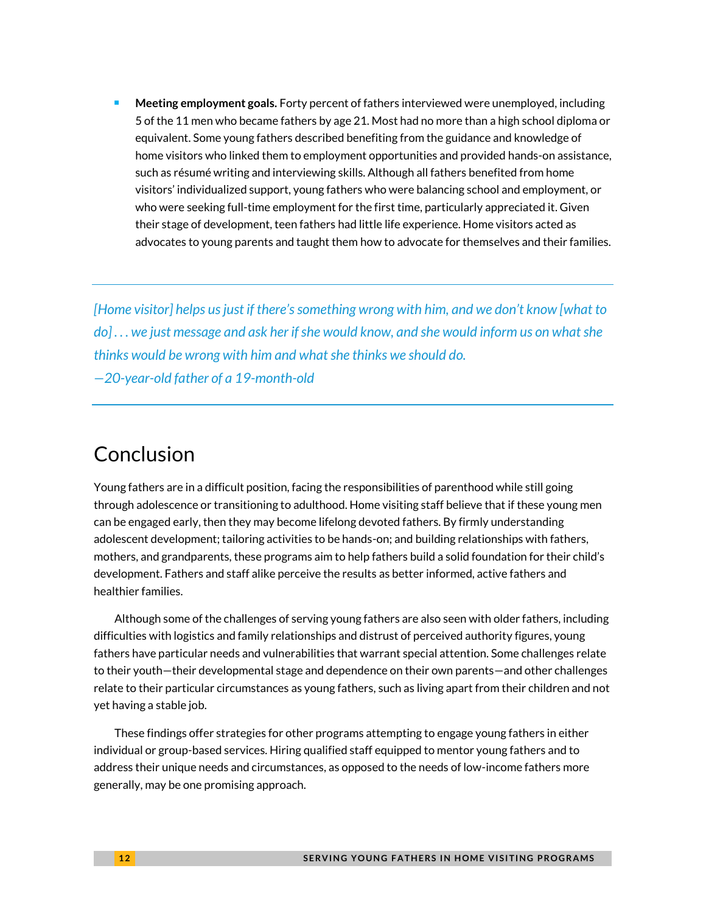**Meeting employment goals.** Forty percent of fathers interviewed were unemployed, including 5 of the 11 men who became fathers by age 21. Most had no more than a high school diploma or equivalent. Some young fathers described benefiting from the guidance and knowledge of home visitors who linked them to employment opportunities and provided hands-on assistance, such as résumé writing and interviewing skills. Although all fathers benefited from home visitors' individualized support, young fathers who were balancing school and employment, or who were seeking full-time employment for the first time, particularly appreciated it. Given their stage of development, teen fathers had little life experience. Home visitors acted as advocates to young parents and taught them how to advocate for themselves and their families.

*[Home visitor] helps us just if there's something wrong with him, and we don't know [what to do] . . . we just message and ask her if she would know, and she would inform us on what she thinks would be wrong with him and what she thinks we should do. —20-year-old father of a 19-month-old* 

### Conclusion

Young fathers are in a difficult position, facing the responsibilities of parenthood while still going through adolescence or transitioning to adulthood. Home visiting staff believe that if these young men can be engaged early, then they may become lifelong devoted fathers. By firmly understanding adolescent development; tailoring activities to be hands-on; and building relationships with fathers, mothers, and grandparents, these programs aim to help fathers build a solid foundation for their child's development. Fathers and staff alike perceive the results as better informed, active fathers and healthier families.

Although some of the challenges of serving young fathers are also seen with older fathers, including difficulties with logistics and family relationships and distrust of perceived authority figures, young fathers have particular needs and vulnerabilities that warrant special attention. Some challenges relate to their youth—their developmental stage and dependence on their own parents—and other challenges relate to their particular circumstances as young fathers, such as living apart from their children and not yet having a stable job.

These findings offer strategies for other programs attempting to engage young fathers in either individual or group-based services. Hiring qualified staff equipped to mentor young fathers and to address their unique needs and circumstances, as opposed to the needs of low-income fathers more generally, may be one promising approach.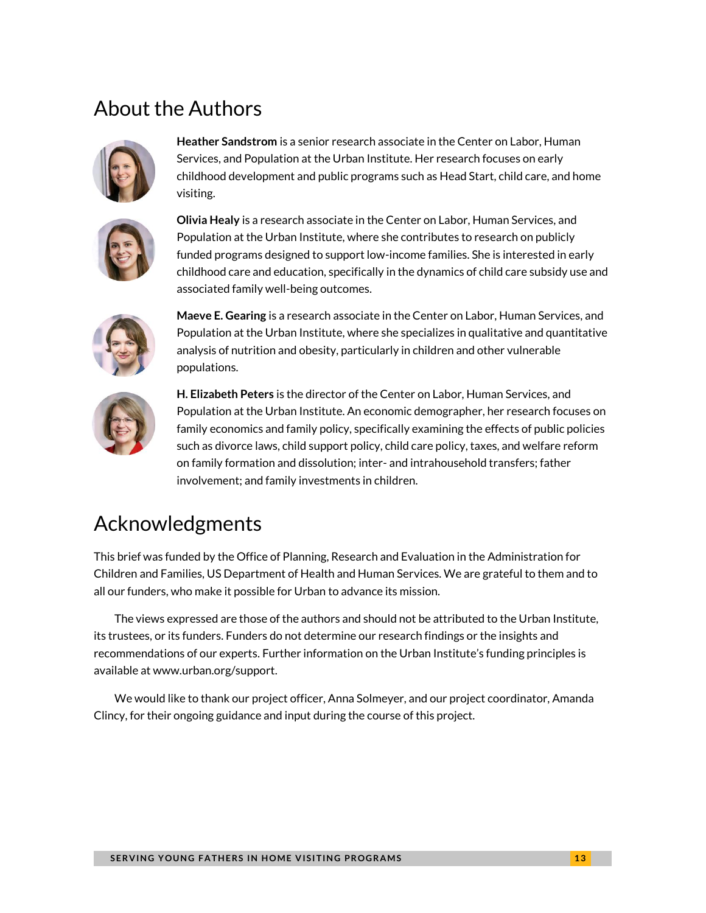### About the Authors



**Heather Sandstrom** is a senior research associate in the Center on Labor, Human Services, and Population at the Urban Institute. Her research focuses on early childhood development and public programs such as Head Start, child care, and home visiting.



**Olivia Healy** is a research associate in the Center on Labor, Human Services, and Population at the Urban Institute, where she contributes to research on publicly funded programs designed to support low-income families. She is interested in early childhood care and education, specifically in the dynamics of child care subsidy use and associated family well-being outcomes.



**Maeve E. Gearing** is a research associate in the Center on Labor, Human Services, and Population at the Urban Institute, where she specializes in qualitative and quantitative analysis of nutrition and obesity, particularly in children and other vulnerable populations.



**H. Elizabeth Peters** is the director of the Center on Labor, Human Services, and Population at the Urban Institute. An economic demographer, her research focuses on family economics and family policy, specifically examining the effects of public policies such as divorce laws, child support policy, child care policy, taxes, and welfare reform on family formation and dissolution; inter- and intrahousehold transfers; father involvement; and family investments in children.

### Acknowledgments

This brief was funded by the Office of Planning, Research and Evaluation in the Administration for Children and Families, US Department of Health and Human Services. We are grateful to them and to all our funders, who make it possible for Urban to advance its mission.

The views expressed are those of the authors and should not be attributed to the Urban Institute, its trustees, or its funders. Funders do not determine our research findings or the insights and recommendations of our experts. Further information on the Urban Institute's funding principles is available at [www.urban.org/support.](http://www.urban.org/support) 

We would like to thank our project officer, Anna Solmeyer, and our project coordinator, Amanda Clincy, for their ongoing guidance and input during the course of this project.